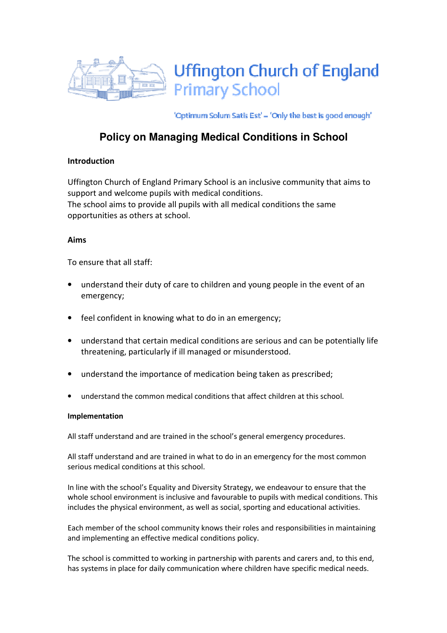

'Optimum Solum Satis Est' - 'Only the best is good enough'

# **Policy on Managing Medical Conditions in School**

# Introduction

Uffington Church of England Primary School is an inclusive community that aims to support and welcome pupils with medical conditions. The school aims to provide all pupils with all medical conditions the same opportunities as others at school.

## Aims

To ensure that all staff:

- understand their duty of care to children and young people in the event of an emergency;
- feel confident in knowing what to do in an emergency;
- understand that certain medical conditions are serious and can be potentially life threatening, particularly if ill managed or misunderstood.
- understand the importance of medication being taken as prescribed;
- understand the common medical conditions that affect children at this school.

## Implementation

All staff understand and are trained in the school's general emergency procedures.

All staff understand and are trained in what to do in an emergency for the most common serious medical conditions at this school.

In line with the school's Equality and Diversity Strategy, we endeavour to ensure that the whole school environment is inclusive and favourable to pupils with medical conditions. This includes the physical environment, as well as social, sporting and educational activities.

Each member of the school community knows their roles and responsibilities in maintaining and implementing an effective medical conditions policy.

The school is committed to working in partnership with parents and carers and, to this end, has systems in place for daily communication where children have specific medical needs.